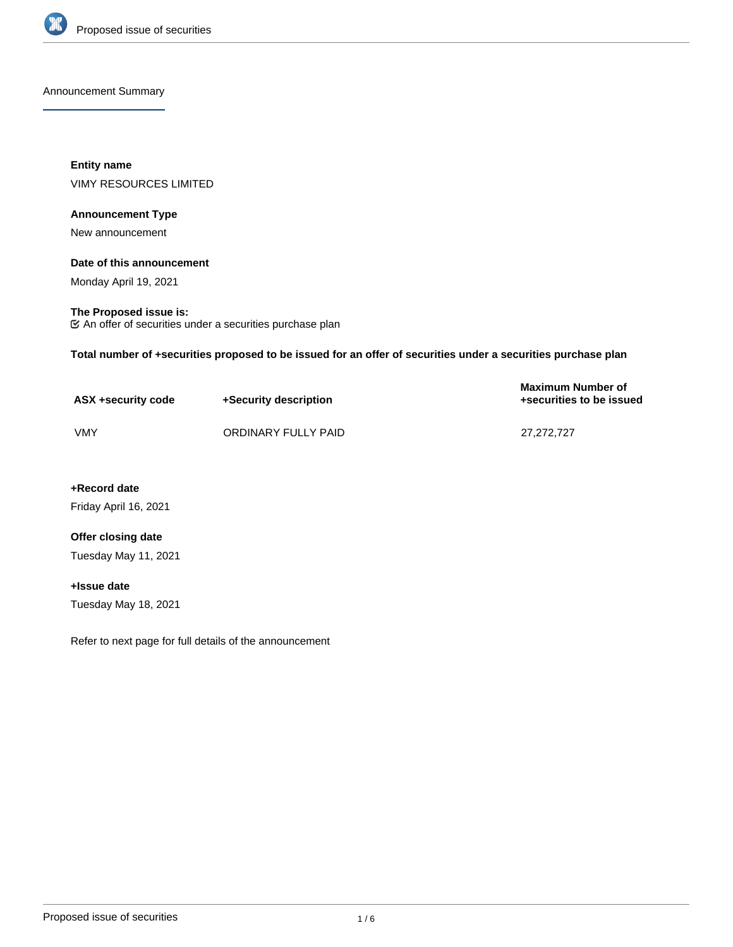

Announcement Summary

**Entity name** VIMY RESOURCES LIMITED

### **Announcement Type**

New announcement

### **Date of this announcement**

Monday April 19, 2021

### **The Proposed issue is:**

An offer of securities under a securities purchase plan

**Total number of +securities proposed to be issued for an offer of securities under a securities purchase plan**

| ASX +security code | +Security description | <b>Maximum Number of</b><br>+securities to be issued |
|--------------------|-----------------------|------------------------------------------------------|
| VMY                | ORDINARY FULLY PAID   | 27.272.727                                           |

**+Record date**

Friday April 16, 2021

## **Offer closing date**

Tuesday May 11, 2021

# **+Issue date**

Tuesday May 18, 2021

Refer to next page for full details of the announcement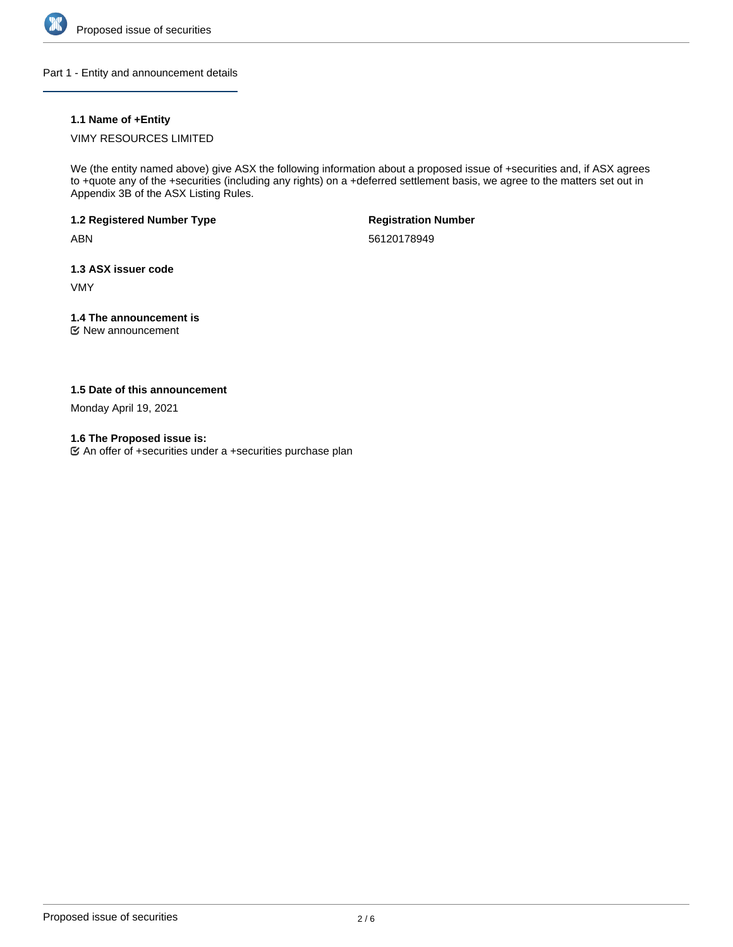

Part 1 - Entity and announcement details

## **1.1 Name of +Entity**

## VIMY RESOURCES LIMITED

We (the entity named above) give ASX the following information about a proposed issue of +securities and, if ASX agrees to +quote any of the +securities (including any rights) on a +deferred settlement basis, we agree to the matters set out in Appendix 3B of the ASX Listing Rules.

## **1.2 Registered Number Type**

ABN

**Registration Number**

56120178949

## **1.3 ASX issuer code**

VMY

# **1.4 The announcement is**

New announcement

## **1.5 Date of this announcement**

Monday April 19, 2021

## **1.6 The Proposed issue is:**

An offer of +securities under a +securities purchase plan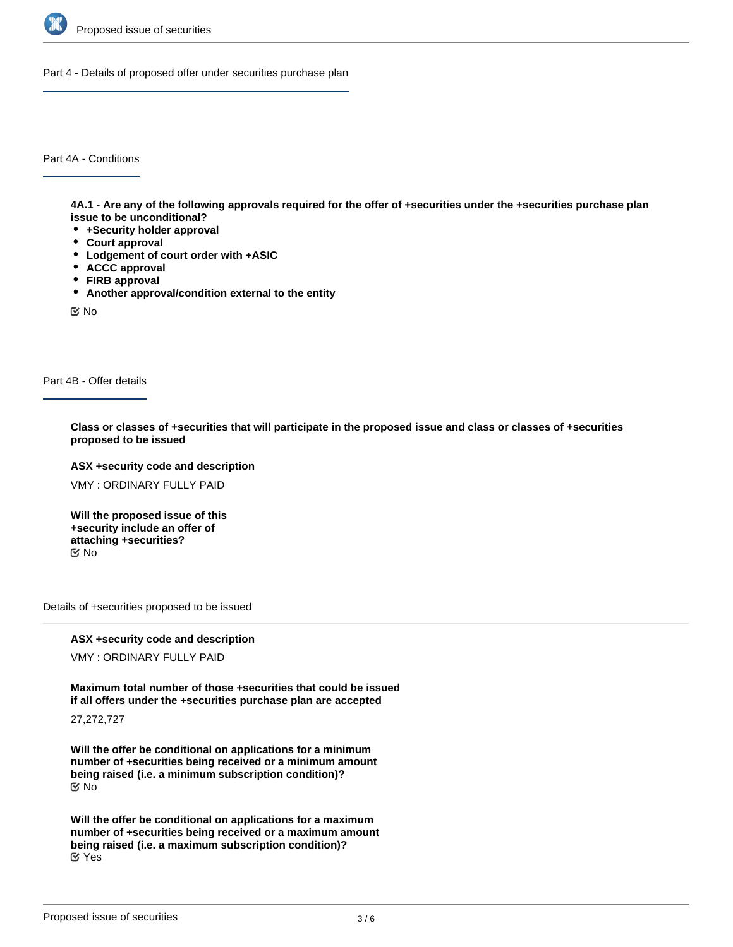

Part 4 - Details of proposed offer under securities purchase plan

Part 4A - Conditions

**4A.1 - Are any of the following approvals required for the offer of +securities under the +securities purchase plan issue to be unconditional?**

- **+Security holder approval**
- **Court approval**
- **Lodgement of court order with +ASIC**
- **ACCC approval**
- **FIRB approval**
- **Another approval/condition external to the entity**

No

Part 4B - Offer details

**Class or classes of +securities that will participate in the proposed issue and class or classes of +securities proposed to be issued**

**ASX +security code and description**

VMY : ORDINARY FULLY PAID

**Will the proposed issue of this +security include an offer of attaching +securities?** No

Details of +securities proposed to be issued

**ASX +security code and description**

VMY : ORDINARY FULLY PAID

**Maximum total number of those +securities that could be issued if all offers under the +securities purchase plan are accepted**

27,272,727

**Will the offer be conditional on applications for a minimum number of +securities being received or a minimum amount being raised (i.e. a minimum subscription condition)?** No

**Will the offer be conditional on applications for a maximum number of +securities being received or a maximum amount being raised (i.e. a maximum subscription condition)?** Yes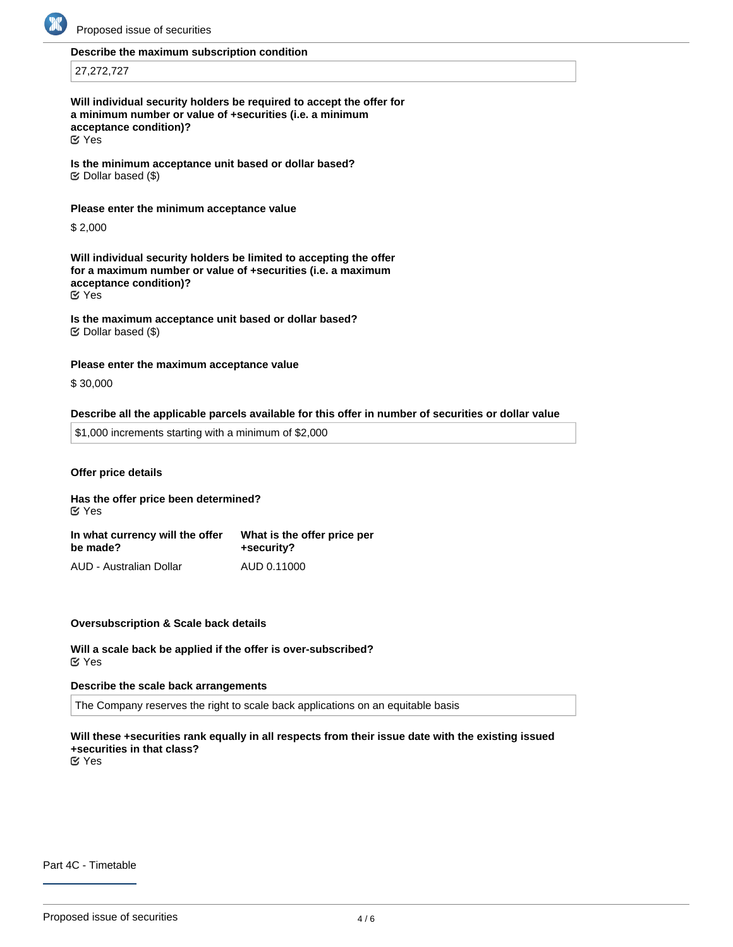

### **Describe the maximum subscription condition**

27,272,727

**Will individual security holders be required to accept the offer for a minimum number or value of +securities (i.e. a minimum acceptance condition)?**

Yes

**Is the minimum acceptance unit based or dollar based?**  $\mathfrak{C}$  Dollar based (\$)

**Please enter the minimum acceptance value**

\$ 2,000

**Will individual security holders be limited to accepting the offer for a maximum number or value of +securities (i.e. a maximum acceptance condition)?** Yes

**Is the maximum acceptance unit based or dollar based?**  $\mathfrak{S}$  Dollar based (\$)

**Please enter the maximum acceptance value**

\$ 30,000

#### **Describe all the applicable parcels available for this offer in number of securities or dollar value**

\$1,000 increments starting with a minimum of \$2,000

**Offer price details**

**Has the offer price been determined? In what currency will the offer be made? What is the offer price per +security?** Yes

AUD - Australian Dollar AUD 0.11000

### **Oversubscription & Scale back details**

**Will a scale back be applied if the offer is over-subscribed?** Yes

#### **Describe the scale back arrangements**

The Company reserves the right to scale back applications on an equitable basis

# **Will these +securities rank equally in all respects from their issue date with the existing issued +securities in that class?**

**EX** Yes

Part 4C - Timetable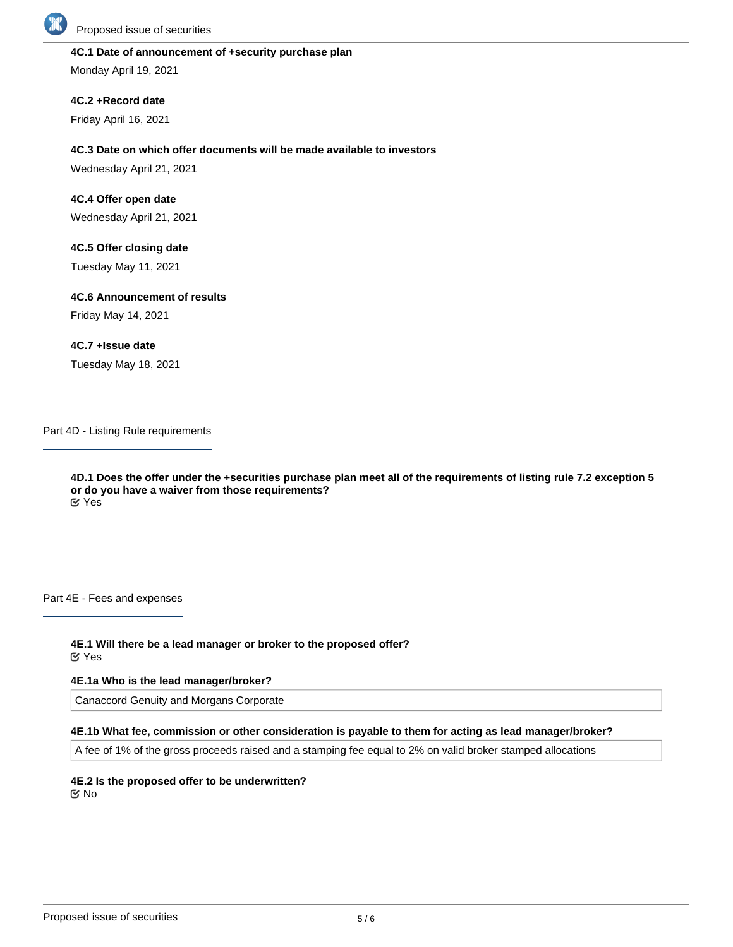

### **4C.1 Date of announcement of +security purchase plan**

Monday April 19, 2021

**4C.2 +Record date**

Friday April 16, 2021

## **4C.3 Date on which offer documents will be made available to investors**

Wednesday April 21, 2021

**4C.4 Offer open date**

Wednesday April 21, 2021

**4C.5 Offer closing date**

Tuesday May 11, 2021

**4C.6 Announcement of results**

Friday May 14, 2021

## **4C.7 +Issue date**

Tuesday May 18, 2021

Part 4D - Listing Rule requirements

**4D.1 Does the offer under the +securities purchase plan meet all of the requirements of listing rule 7.2 exception 5 or do you have a waiver from those requirements?** Yes

Part 4E - Fees and expenses

**4E.1 Will there be a lead manager or broker to the proposed offer?** Yes

### **4E.1a Who is the lead manager/broker?**

Canaccord Genuity and Morgans Corporate

### **4E.1b What fee, commission or other consideration is payable to them for acting as lead manager/broker?**

A fee of 1% of the gross proceeds raised and a stamping fee equal to 2% on valid broker stamped allocations

**4E.2 Is the proposed offer to be underwritten?** No